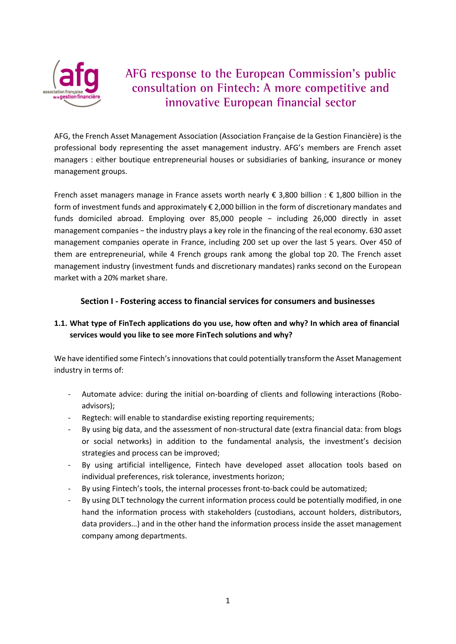

# AFG response to the European Commission's public consultation on Fintech: A more competitive and innovative European financial sector

AFG, the French Asset Management Association (Association Française de la Gestion Financière) is the professional body representing the asset management industry. AFG's members are French asset managers : either boutique entrepreneurial houses or subsidiaries of banking, insurance or money management groups.

French asset managers manage in France assets worth nearly  $\epsilon$  3,800 billion :  $\epsilon$  1,800 billion in the form of investment funds and approximately € 2,000 billion in the form of discretionary mandates and funds domiciled abroad. Employing over 85,000 people − including 26,000 directly in asset management companies − the industry plays a key role in the financing of the real economy. 630 asset management companies operate in France, including 200 set up over the last 5 years. Over 450 of them are entrepreneurial, while 4 French groups rank among the global top 20. The French asset management industry (investment funds and discretionary mandates) ranks second on the European market with a 20% market share.

#### **Section I - Fostering access to financial services for consumers and businesses**

## **1.1. What type of FinTech applications do you use, how often and why? In which area of financial services would you like to see more FinTech solutions and why?**

We have identified some Fintech's innovations that could potentially transform the Asset Management industry in terms of:

- Automate advice: during the initial on-boarding of clients and following interactions (Roboadvisors);
- Regtech: will enable to standardise existing reporting requirements;
- By using big data, and the assessment of non-structural date (extra financial data: from blogs or social networks) in addition to the fundamental analysis, the investment's decision strategies and process can be improved;
- By using artificial intelligence, Fintech have developed asset allocation tools based on individual preferences, risk tolerance, investments horizon;
- By using Fintech's tools, the internal processes front-to-back could be automatized;
- By using DLT technology the current information process could be potentially modified, in one hand the information process with stakeholders (custodians, account holders, distributors, data providers…) and in the other hand the information process inside the asset management company among departments.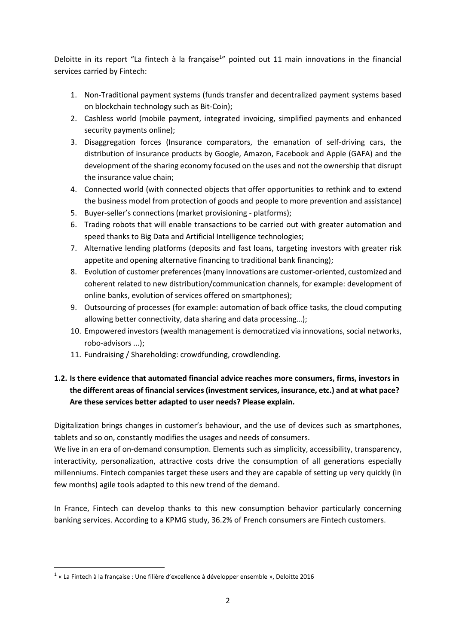Deloitte in its report "La fintech à la française<sup>1</sup>" pointed out 11 main innovations in the financial services carried by Fintech:

- 1. Non-Traditional payment systems (funds transfer and decentralized payment systems based on blockchain technology such as Bit-Coin);
- 2. Cashless world (mobile payment, integrated invoicing, simplified payments and enhanced security payments online);
- 3. Disaggregation forces (Insurance comparators, the emanation of self-driving cars, the distribution of insurance products by Google, Amazon, Facebook and Apple (GAFA) and the development of the sharing economy focused on the uses and not the ownership that disrupt the insurance value chain;
- 4. Connected world (with connected objects that offer opportunities to rethink and to extend the business model from protection of goods and people to more prevention and assistance)
- 5. Buyer-seller's connections (market provisioning platforms);
- 6. Trading robots that will enable transactions to be carried out with greater automation and speed thanks to Big Data and Artificial Intelligence technologies;
- 7. Alternative lending platforms (deposits and fast loans, targeting investors with greater risk appetite and opening alternative financing to traditional bank financing);
- 8. Evolution of customer preferences (many innovations are customer-oriented, customized and coherent related to new distribution/communication channels, for example: development of online banks, evolution of services offered on smartphones);
- 9. Outsourcing of processes (for example: automation of back office tasks, the cloud computing allowing better connectivity, data sharing and data processing…);
- 10. Empowered investors (wealth management is democratized via innovations, social networks, robo-advisors ...);
- 11. Fundraising / Shareholding: crowdfunding, crowdlending.

# **1.2. Is there evidence that automated financial advice reaches more consumers, firms, investors in the different areas of financial services (investment services, insurance, etc.) and at what pace? Are these services better adapted to user needs? Please explain.**

Digitalization brings changes in customer's behaviour, and the use of devices such as smartphones, tablets and so on, constantly modifies the usages and needs of consumers.

We live in an era of on-demand consumption. Elements such as simplicity, accessibility, transparency, interactivity, personalization, attractive costs drive the consumption of all generations especially millenniums. Fintech companies target these users and they are capable of setting up very quickly (in few months) agile tools adapted to this new trend of the demand.

In France, Fintech can develop thanks to this new consumption behavior particularly concerning banking services. According to a KPMG study, 36.2% of French consumers are Fintech customers.

 $<sup>1</sup>$  « La Fintech à la française : Une filière d'excellence à développer ensemble », Deloitte 2016</sup>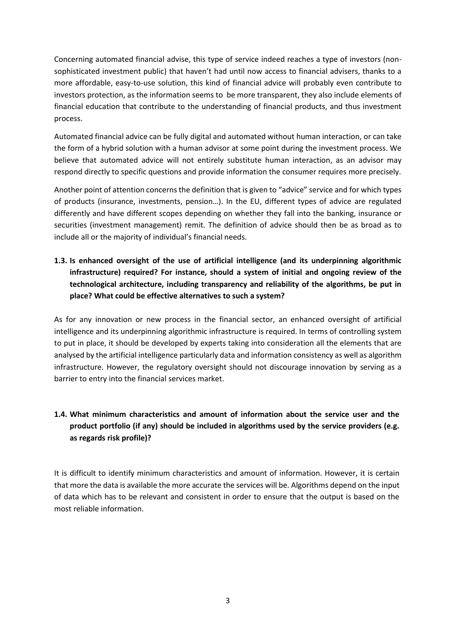Concerning automated financial advise, this type of service indeed reaches a type of investors (nonsophisticated investment public) that haven't had until now access to financial advisers, thanks to a more affordable, easy-to-use solution, this kind of financial advice will probably even contribute to investors protection, as the information seems to be more transparent, they also include elements of financial education that contribute to the understanding of financial products, and thus investment process.

Automated financial advice can be fully digital and automated without human interaction, or can take the form of a hybrid solution with a human advisor at some point during the investment process. We believe that automated advice will not entirely substitute human interaction, as an advisor may respond directly to specific questions and provide information the consumer requires more precisely.

Another point of attention concerns the definition that is given to "advice" service and for which types of products (insurance, investments, pension…). In the EU, different types of advice are regulated differently and have different scopes depending on whether they fall into the banking, insurance or securities (investment management) remit. The definition of advice should then be as broad as to include all or the majority of individual's financial needs.

# **1.3. Is enhanced oversight of the use of artificial intelligence (and its underpinning algorithmic infrastructure) required? For instance, should a system of initial and ongoing review of the technological architecture, including transparency and reliability of the algorithms, be put in place? What could be effective alternatives to such a system?**

As for any innovation or new process in the financial sector, an enhanced oversight of artificial intelligence and its underpinning algorithmic infrastructure is required. In terms of controlling system to put in place, it should be developed by experts taking into consideration all the elements that are analysed by the artificial intelligence particularly data and information consistency as well as algorithm infrastructure. However, the regulatory oversight should not discourage innovation by serving as a barrier to entry into the financial services market.

# **1.4. What minimum characteristics and amount of information about the service user and the product portfolio (if any) should be included in algorithms used by the service providers (e.g. as regards risk profile)?**

It is difficult to identify minimum characteristics and amount of information. However, it is certain that more the data is available the more accurate the services will be. Algorithms depend on the input of data which has to be relevant and consistent in order to ensure that the output is based on the most reliable information.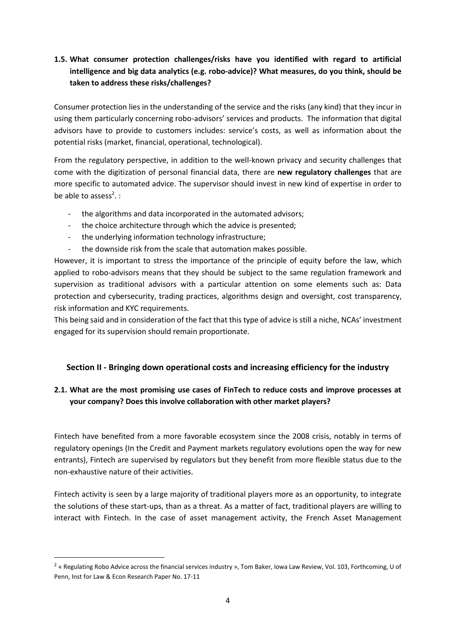# **1.5. What consumer protection challenges/risks have you identified with regard to artificial intelligence and big data analytics (e.g. robo-advice)? What measures, do you think, should be taken to address these risks/challenges?**

Consumer protection lies in the understanding of the service and the risks (any kind) that they incur in using them particularly concerning robo-advisors' services and products. The information that digital advisors have to provide to customers includes: service's costs, as well as information about the potential risks (market, financial, operational, technological).

From the regulatory perspective, in addition to the well-known privacy and security challenges that come with the digitization of personal financial data, there are **new regulatory challenges** that are more specific to automated advice. The supervisor should invest in new kind of expertise in order to be able to assess<sup>2</sup>. :

- the algorithms and data incorporated in the automated advisors;
- the choice architecture through which the advice is presented;
- the underlying information technology infrastructure;

**.** 

- the downside risk from the scale that automation makes possible.

However, it is important to stress the importance of the principle of equity before the law, which applied to robo-advisors means that they should be subject to the same regulation framework and supervision as traditional advisors with a particular attention on some elements such as: Data protection and cybersecurity, trading practices, algorithms design and oversight, cost transparency, risk information and KYC requirements.

This being said and in consideration of the fact that this type of advice is still a niche, NCAs' investment engaged for its supervision should remain proportionate.

#### **Section II - Bringing down operational costs and increasing efficiency for the industry**

#### **2.1. What are the most promising use cases of FinTech to reduce costs and improve processes at your company? Does this involve collaboration with other market players?**

Fintech have benefited from a more favorable ecosystem since the 2008 crisis, notably in terms of regulatory openings (In the Credit and Payment markets regulatory evolutions open the way for new entrants), Fintech are supervised by regulators but they benefit from more flexible status due to the non-exhaustive nature of their activities.

Fintech activity is seen by a large majority of traditional players more as an opportunity, to integrate the solutions of these start-ups, than as a threat. As a matter of fact, traditional players are willing to interact with Fintech. In the case of asset management activity, the French Asset Management

<sup>&</sup>lt;sup>2</sup> « Regulating Robo Advice across the financial services industry », Tom Baker, Iowa Law Review, Vol. 103, Forthcoming, U of Penn, Inst for Law & Econ Research Paper No. 17-11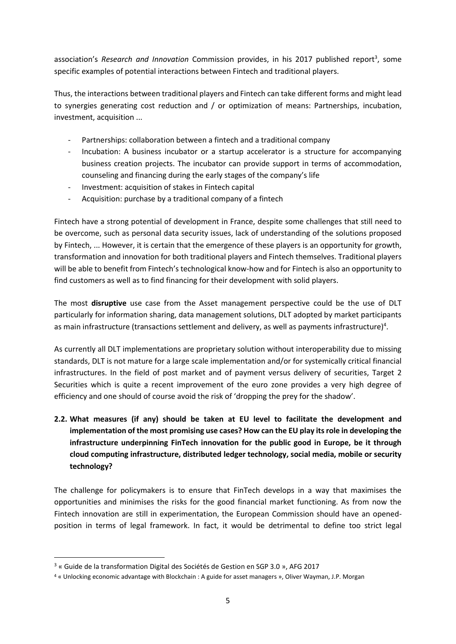association's Research and Innovation Commission provides, in his 2017 published report<sup>3</sup>, some specific examples of potential interactions between Fintech and traditional players.

Thus, the interactions between traditional players and Fintech can take different forms and might lead to synergies generating cost reduction and / or optimization of means: Partnerships, incubation, investment, acquisition ...

- Partnerships: collaboration between a fintech and a traditional company
- Incubation: A business incubator or a startup accelerator is a structure for accompanying business creation projects. The incubator can provide support in terms of accommodation, counseling and financing during the early stages of the company's life
- Investment: acquisition of stakes in Fintech capital
- Acquisition: purchase by a traditional company of a fintech

Fintech have a strong potential of development in France, despite some challenges that still need to be overcome, such as personal data security issues, lack of understanding of the solutions proposed by Fintech, ... However, it is certain that the emergence of these players is an opportunity for growth, transformation and innovation for both traditional players and Fintech themselves. Traditional players will be able to benefit from Fintech's technological know-how and for Fintech is also an opportunity to find customers as well as to find financing for their development with solid players.

The most **disruptive** use case from the Asset management perspective could be the use of DLT particularly for information sharing, data management solutions, DLT adopted by market participants as main infrastructure (transactions settlement and delivery, as well as payments infrastructure)<sup>4</sup>.

As currently all DLT implementations are proprietary solution without interoperability due to missing standards, DLT is not mature for a large scale implementation and/or for systemically critical financial infrastructures. In the field of post market and of payment versus delivery of securities, Target 2 Securities which is quite a recent improvement of the euro zone provides a very high degree of efficiency and one should of course avoid the risk of 'dropping the prey for the shadow'.

**2.2. What measures (if any) should be taken at EU level to facilitate the development and implementation of the most promising use cases? How can the EU play its role in developing the infrastructure underpinning FinTech innovation for the public good in Europe, be it through cloud computing infrastructure, distributed ledger technology, social media, mobile or security technology?**

The challenge for policymakers is to ensure that FinTech develops in a way that maximises the opportunities and minimises the risks for the good financial market functioning. As from now the Fintech innovation are still in experimentation, the European Commission should have an openedposition in terms of legal framework. In fact, it would be detrimental to define too strict legal

**.** 

<sup>3</sup> « Guide de la transformation Digital des Sociétés de Gestion en SGP 3.0 », AFG 2017

<sup>4</sup> « Unlocking economic advantage with Blockchain : A guide for asset managers », Oliver Wayman, J.P. Morgan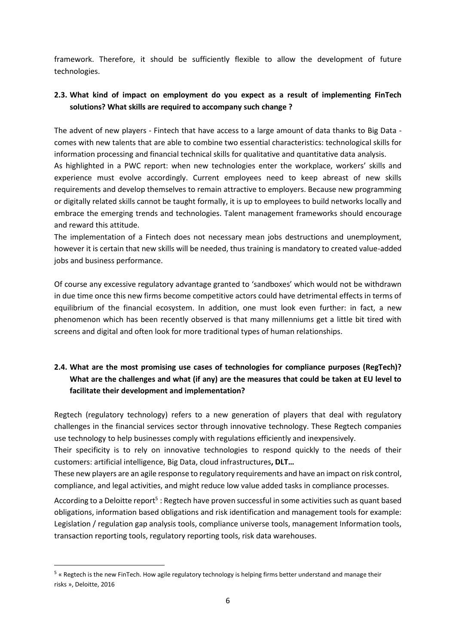framework. Therefore, it should be sufficiently flexible to allow the development of future technologies.

#### **2.3. What kind of impact on employment do you expect as a result of implementing FinTech solutions? What skills are required to accompany such change ?**

The advent of new players - Fintech that have access to a large amount of data thanks to Big Data comes with new talents that are able to combine two essential characteristics: technological skills for information processing and financial technical skills for qualitative and quantitative data analysis. As highlighted in a PWC report: when new technologies enter the workplace, workers' skills and experience must evolve accordingly. Current employees need to keep abreast of new skills requirements and develop themselves to remain attractive to employers. Because new programming or digitally related skills cannot be taught formally, it is up to employees to build networks locally and embrace the emerging trends and technologies. Talent management frameworks should encourage and reward this attitude.

The implementation of a Fintech does not necessary mean jobs destructions and unemployment, however it is certain that new skills will be needed, thus training is mandatory to created value-added jobs and business performance.

Of course any excessive regulatory advantage granted to 'sandboxes' which would not be withdrawn in due time once this new firms become competitive actors could have detrimental effects in terms of equilibrium of the financial ecosystem. In addition, one must look even further: in fact, a new phenomenon which has been recently observed is that many millenniums get a little bit tired with screens and digital and often look for more traditional types of human relationships.

# **2.4. What are the most promising use cases of technologies for compliance purposes (RegTech)? What are the challenges and what (if any) are the measures that could be taken at EU level to facilitate their development and implementation?**

Regtech (regulatory technology) refers to a new generation of players that deal with regulatory challenges in the financial services sector through innovative technology. These Regtech companies use technology to help businesses comply with regulations efficiently and inexpensively.

Their specificity is to rely on innovative technologies to respond quickly to the needs of their customers: artificial intelligence, Big Data, cloud infrastructures**, DLT…**

These new players are an agile response to regulatory requirements and have an impact on risk control, compliance, and legal activities, and might reduce low value added tasks in compliance processes.

According to a Deloitte report<sup>5</sup> : Regtech have proven successful in some activities such as quant based obligations, information based obligations and risk identification and management tools for example: Legislation / regulation gap analysis tools, compliance universe tools, management Information tools, transaction reporting tools, regulatory reporting tools, risk data warehouses.

<sup>&</sup>lt;sup>5</sup> « Regtech is the new FinTech. How agile regulatory technology is helping firms better understand and manage their risks », Deloitte, 2016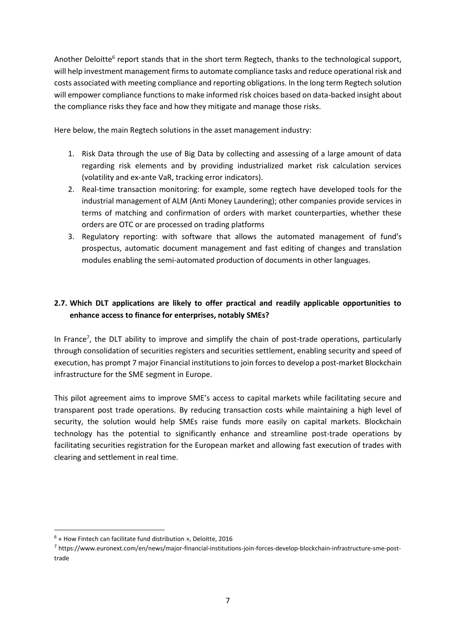Another Deloitte<sup>6</sup> report stands that in the short term Regtech, thanks to the technological support, will help investment management firms to automate compliance tasks and reduce operational risk and costs associated with meeting compliance and reporting obligations. In the long term Regtech solution will empower compliance functions to make informed risk choices based on data-backed insight about the compliance risks they face and how they mitigate and manage those risks.

Here below, the main Regtech solutions in the asset management industry:

- 1. Risk Data through the use of Big Data by collecting and assessing of a large amount of data regarding risk elements and by providing industrialized market risk calculation services (volatility and ex-ante VaR, tracking error indicators).
- 2. Real-time transaction monitoring: for example, some regtech have developed tools for the industrial management of ALM (Anti Money Laundering); other companies provide services in terms of matching and confirmation of orders with market counterparties, whether these orders are OTC or are processed on trading platforms
- 3. Regulatory reporting: with software that allows the automated management of fund's prospectus, automatic document management and fast editing of changes and translation modules enabling the semi-automated production of documents in other languages.

# **2.7. Which DLT applications are likely to offer practical and readily applicable opportunities to enhance access to finance for enterprises, notably SMEs?**

In France<sup>7</sup>, the DLT ability to improve and simplify the chain of post-trade operations, particularly through consolidation of securities registers and securities settlement, enabling security and speed of execution, has prompt 7 major Financial institutions to join forces to develop a post-market Blockchain infrastructure for the SME segment in Europe.

This pilot agreement aims to improve SME's access to capital markets while facilitating secure and transparent post trade operations. By reducing transaction costs while maintaining a high level of security, the solution would help SMEs raise funds more easily on capital markets. Blockchain technology has the potential to significantly enhance and streamline post-trade operations by facilitating securities registration for the European market and allowing fast execution of trades with clearing and settlement in real time.

**.** 

<sup>6</sup> « How Fintech can facilitate fund distribution », Deloitte, 2016

<sup>7</sup> [https://www.euronext.com/en/news/major-financial-institutions-join-forces-develop-blockchain-infrastructure-sme-post](https://www.euronext.com/en/news/major-financial-institutions-join-forces-develop-blockchain-infrastructure-sme-post-trade)[trade](https://www.euronext.com/en/news/major-financial-institutions-join-forces-develop-blockchain-infrastructure-sme-post-trade)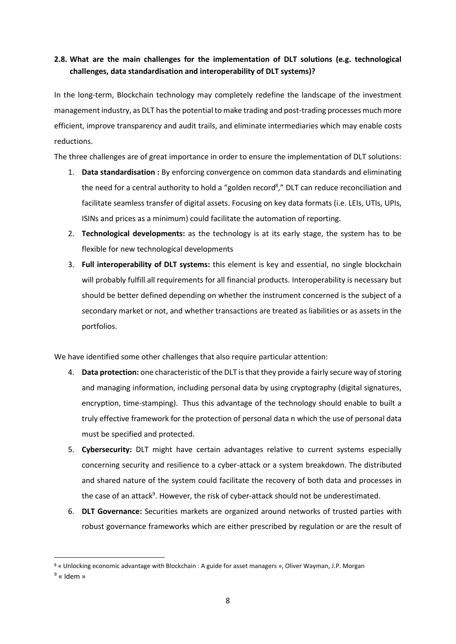#### **2.8. What are the main challenges for the implementation of DLT solutions (e.g. technological challenges, data standardisation and interoperability of DLT systems)?**

In the long-term, Blockchain technology may completely redefine the landscape of the investment management industry, as DLT has the potential to make trading and post-trading processes much more efficient, improve transparency and audit trails, and eliminate intermediaries which may enable costs reductions.

The three challenges are of great importance in order to ensure the implementation of DLT solutions:

- 1. **Data standardisation :** By enforcing convergence on common data standards and eliminating the need for a central authority to hold a "golden record<sup>8</sup>," DLT can reduce reconciliation and facilitate seamless transfer of digital assets. Focusing on key data formats (i.e. LEIs, UTIs, UPIs, ISINs and prices as a minimum) could facilitate the automation of reporting.
- 2. **Technological developments:** as the technology is at its early stage, the system has to be flexible for new technological developments
- 3. **Full interoperability of DLT systems:** this element is key and essential, no single blockchain will probably fulfill all requirements for all financial products. Interoperability is necessary but should be better defined depending on whether the instrument concerned is the subject of a secondary market or not, and whether transactions are treated as liabilities or as assets in the portfolios.

We have identified some other challenges that also require particular attention:

- 4. **Data protection:** one characteristic of the DLT is that they provide a fairly secure way of storing and managing information, including personal data by using cryptography (digital signatures, encryption, time-stamping). Thus this advantage of the technology should enable to built a truly effective framework for the protection of personal data n which the use of personal data must be specified and protected.
- 5. **Cybersecurity:** DLT might have certain advantages relative to current systems especially concerning security and resilience to a cyber-attack or a system breakdown. The distributed and shared nature of the system could facilitate the recovery of both data and processes in the case of an attack<sup>9</sup>. However, the risk of cyber-attack should not be underestimated.
- 6. **DLT Governance:** Securities markets are organized around networks of trusted parties with robust governance frameworks which are either prescribed by regulation or are the result of

**.** 

<sup>8</sup> « Unlocking economic advantage with Blockchain : A guide for asset managers », Oliver Wayman, J.P. Morgan

 $9$  « Idem »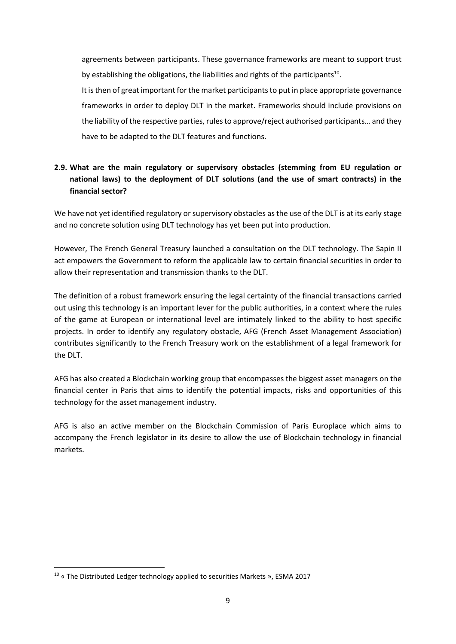agreements between participants. These governance frameworks are meant to support trust by establishing the obligations, the liabilities and rights of the participants<sup>10</sup>.

It is then of great important for the market participants to put in place appropriate governance frameworks in order to deploy DLT in the market. Frameworks should include provisions on the liability of the respective parties, rules to approve/reject authorised participants… and they have to be adapted to the DLT features and functions.

# **2.9. What are the main regulatory or supervisory obstacles (stemming from EU regulation or national laws) to the deployment of DLT solutions (and the use of smart contracts) in the financial sector?**

We have not yet identified regulatory or supervisory obstacles as the use of the DLT is at its early stage and no concrete solution using DLT technology has yet been put into production.

However, The French General Treasury launched a consultation on the DLT technology. The Sapin II act empowers the Government to reform the applicable law to certain financial securities in order to allow their representation and transmission thanks to the DLT.

The definition of a robust framework ensuring the legal certainty of the financial transactions carried out using this technology is an important lever for the public authorities, in a context where the rules of the game at European or international level are intimately linked to the ability to host specific projects. In order to identify any regulatory obstacle, AFG (French Asset Management Association) contributes significantly to the French Treasury work on the establishment of a legal framework for the DLT.

AFG has also created a Blockchain working group that encompasses the biggest asset managers on the financial center in Paris that aims to identify the potential impacts, risks and opportunities of this technology for the asset management industry.

AFG is also an active member on the Blockchain Commission of Paris Europlace which aims to accompany the French legislator in its desire to allow the use of Blockchain technology in financial markets.

 $10$  « The Distributed Ledger technology applied to securities Markets », ESMA 2017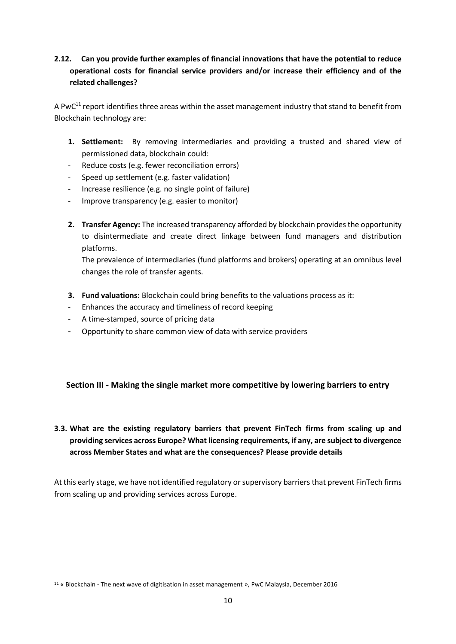# **2.12. Can you provide further examples of financial innovations that have the potential to reduce operational costs for financial service providers and/or increase their efficiency and of the related challenges?**

A PwC<sup>11</sup> report identifies three areas within the asset management industry that stand to benefit from Blockchain technology are:

- **1. Settlement:** By removing intermediaries and providing a trusted and shared view of permissioned data, blockchain could:
- Reduce costs (e.g. fewer reconciliation errors)
- Speed up settlement (e.g. faster validation)
- Increase resilience (e.g. no single point of failure)
- Improve transparency (e.g. easier to monitor)
- **2. Transfer Agency:** The increased transparency afforded by blockchain provides the opportunity to disintermediate and create direct linkage between fund managers and distribution platforms.

The prevalence of intermediaries (fund platforms and brokers) operating at an omnibus level changes the role of transfer agents.

- **3. Fund valuations:** Blockchain could bring benefits to the valuations process as it:
- Enhances the accuracy and timeliness of record keeping
- A time-stamped, source of pricing data

**.** 

- Opportunity to share common view of data with service providers

#### **Section III - Making the single market more competitive by lowering barriers to entry**

**3.3. What are the existing regulatory barriers that prevent FinTech firms from scaling up and providing services across Europe? What licensing requirements, if any, are subject to divergence across Member States and what are the consequences? Please provide details**

At this early stage, we have not identified regulatory or supervisory barriers that prevent FinTech firms from scaling up and providing services across Europe.

<sup>11</sup> « Blockchain - The next wave of digitisation in asset management », PwC Malaysia, December 2016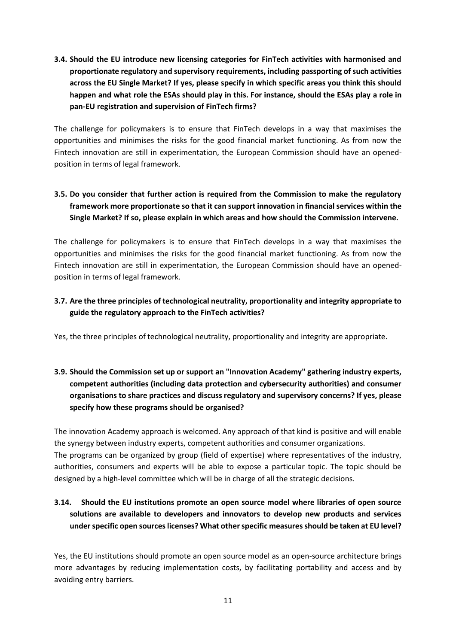**3.4. Should the EU introduce new licensing categories for FinTech activities with harmonised and proportionate regulatory and supervisory requirements, including passporting of such activities across the EU Single Market? If yes, please specify in which specific areas you think this should happen and what role the ESAs should play in this. For instance, should the ESAs play a role in pan-EU registration and supervision of FinTech firms?**

The challenge for policymakers is to ensure that FinTech develops in a way that maximises the opportunities and minimises the risks for the good financial market functioning. As from now the Fintech innovation are still in experimentation, the European Commission should have an openedposition in terms of legal framework.

# **3.5. Do you consider that further action is required from the Commission to make the regulatory framework more proportionate so that it can support innovation in financial services within the Single Market? If so, please explain in which areas and how should the Commission intervene.**

The challenge for policymakers is to ensure that FinTech develops in a way that maximises the opportunities and minimises the risks for the good financial market functioning. As from now the Fintech innovation are still in experimentation, the European Commission should have an openedposition in terms of legal framework.

## **3.7. Are the three principles of technological neutrality, proportionality and integrity appropriate to guide the regulatory approach to the FinTech activities?**

Yes, the three principles of technological neutrality, proportionality and integrity are appropriate.

# **3.9. Should the Commission set up or support an "Innovation Academy" gathering industry experts, competent authorities (including data protection and cybersecurity authorities) and consumer organisations to share practices and discuss regulatory and supervisory concerns? If yes, please specify how these programs should be organised?**

The innovation Academy approach is welcomed. Any approach of that kind is positive and will enable the synergy between industry experts, competent authorities and consumer organizations. The programs can be organized by group (field of expertise) where representatives of the industry, authorities, consumers and experts will be able to expose a particular topic. The topic should be designed by a high-level committee which will be in charge of all the strategic decisions.

# **3.14. Should the EU institutions promote an open source model where libraries of open source solutions are available to developers and innovators to develop new products and services under specific open sources licenses? What other specific measures should be taken at EU level?**

Yes, the EU institutions should promote an open source model as an open-source architecture brings more advantages by reducing implementation costs, by facilitating portability and access and by avoiding entry barriers.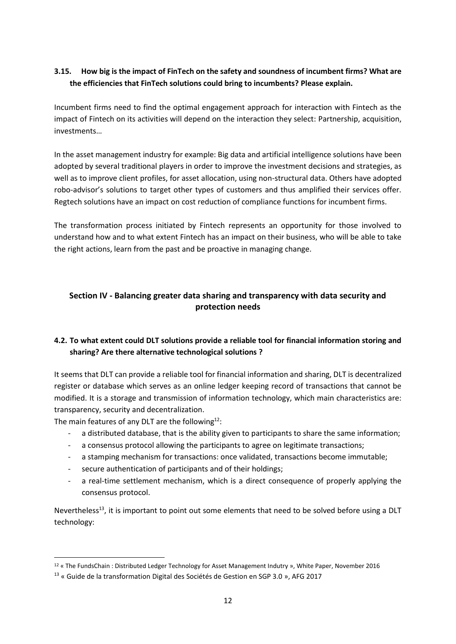#### **3.15. How big is the impact of FinTech on the safety and soundness of incumbent firms? What are the efficiencies that FinTech solutions could bring to incumbents? Please explain.**

Incumbent firms need to find the optimal engagement approach for interaction with Fintech as the impact of Fintech on its activities will depend on the interaction they select: Partnership, acquisition, investments…

In the asset management industry for example: Big data and artificial intelligence solutions have been adopted by several traditional players in order to improve the investment decisions and strategies, as well as to improve client profiles, for asset allocation, using non-structural data. Others have adopted robo-advisor's solutions to target other types of customers and thus amplified their services offer. Regtech solutions have an impact on cost reduction of compliance functions for incumbent firms.

The transformation process initiated by Fintech represents an opportunity for those involved to understand how and to what extent Fintech has an impact on their business, who will be able to take the right actions, learn from the past and be proactive in managing change.

#### **Section IV - Balancing greater data sharing and transparency with data security and protection needs**

# **4.2. To what extent could DLT solutions provide a reliable tool for financial information storing and sharing? Are there alternative technological solutions ?**

It seems that DLT can provide a reliable tool for financial information and sharing, DLT is decentralized register or database which serves as an online ledger keeping record of transactions that cannot be modified. It is a storage and transmission of information technology, which main characteristics are: transparency, security and decentralization.

The main features of any DLT are the following $12$ :

**.** 

- a distributed database, that is the ability given to participants to share the same information;
- a consensus protocol allowing the participants to agree on legitimate transactions;
- a stamping mechanism for transactions: once validated, transactions become immutable;
- secure authentication of participants and of their holdings;
- a real-time settlement mechanism, which is a direct consequence of properly applying the consensus protocol.

Nevertheless<sup>13</sup>, it is important to point out some elements that need to be solved before using a DLT technology:

<sup>&</sup>lt;sup>12</sup> « The FundsChain : Distributed Ledger Technology for Asset Management Indutry », White Paper, November 2016

<sup>13</sup> « Guide de la transformation Digital des Sociétés de Gestion en SGP 3.0 », AFG 2017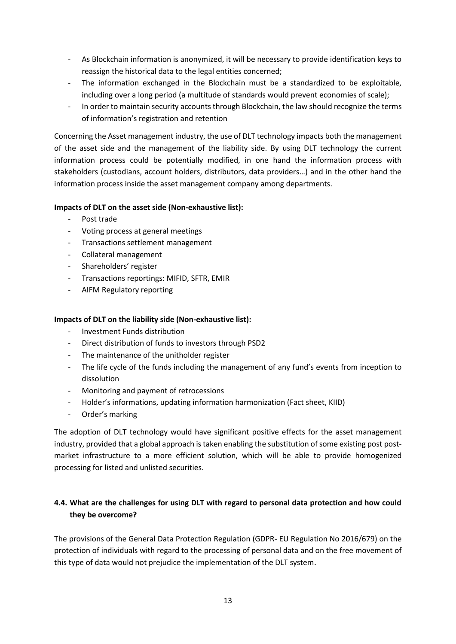- As Blockchain information is anonymized, it will be necessary to provide identification keys to reassign the historical data to the legal entities concerned;
- The information exchanged in the Blockchain must be a standardized to be exploitable, including over a long period (a multitude of standards would prevent economies of scale);
- In order to maintain security accounts through Blockchain, the law should recognize the terms of information's registration and retention

Concerning the Asset management industry, the use of DLT technology impacts both the management of the asset side and the management of the liability side. By using DLT technology the current information process could be potentially modified, in one hand the information process with stakeholders (custodians, account holders, distributors, data providers…) and in the other hand the information process inside the asset management company among departments.

#### **Impacts of DLT on the asset side (Non-exhaustive list):**

- Post trade
- Voting process at general meetings
- Transactions settlement management
- Collateral management
- Shareholders' register
- Transactions reportings: MIFID, SFTR, EMIR
- AIFM Regulatory reporting

#### **Impacts of DLT on the liability side (Non-exhaustive list):**

- Investment Funds distribution
- Direct distribution of funds to investors through PSD2
- The maintenance of the unitholder register
- The life cycle of the funds including the management of any fund's events from inception to dissolution
- Monitoring and payment of retrocessions
- Holder's informations, updating information harmonization (Fact sheet, KIID)
- Order's marking

The adoption of DLT technology would have significant positive effects for the asset management industry, provided that a global approach is taken enabling the substitution of some existing post postmarket infrastructure to a more efficient solution, which will be able to provide homogenized processing for listed and unlisted securities.

#### **4.4. What are the challenges for using DLT with regard to personal data protection and how could they be overcome?**

The provisions of the General Data Protection Regulation (GDPR- EU Regulation No 2016/679) on the protection of individuals with regard to the processing of personal data and on the free movement of this type of data would not prejudice the implementation of the DLT system.